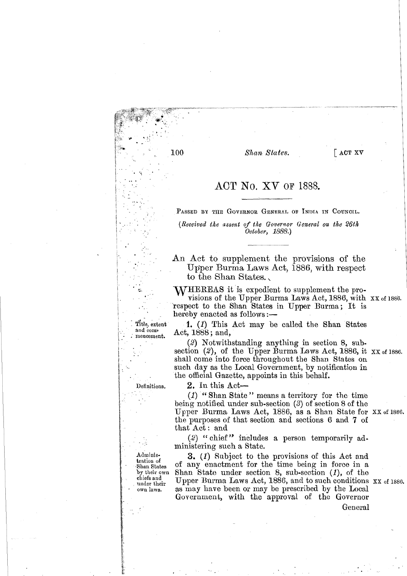Shan States.

ACT No. XV OF 1888.

PASSED BY THE GOVERNOR GENERAL OF INDIA IN COUNCIL.

(Received the assent of the Governor General on the 26th October, 1888.)

An Act to supplement the provisions of the Upper Burma Laws Act, 1886, with respect to the Shan States.

**WHEREAS** it is expedient to supplement the provisions of the Upper Burma Laws Act, 1886, with XX of 1886. respect to the Shan States in Upper Burma; It is hereby enacted as follows:—

1. (1) This Act may be called the Shan States Act, 1888; and,

(2) Notwithstanding anything in section 8, subsection (2), of the Upper Burma Laws Act, 1886, it  $XX$  of 1886. shall come into force throughout the Shan States on such day as the Local Government, by notification in the official Gazette, appoints in this behalf.

 $2.$  In this Act-

 $(1)$  "Shan State" means a territory for the time being notified under sub-section  $(3)$  of section 8 of the Upper Burma Laws Act, 1886, as a Shan State for XX of 1886. the purposes of that section and sections 6 and 7 of that Act: and

(2) "chief" includes a person temporarily administering such a State.

3. (1) Subject to the provisions of this Act and of any enactment for the time being in force in a Shan State under section 8, sub-section  $(1)$ , of the Upper Burma Laws Act, 1886, and to such conditions XX of 1886. as may have been or may be prescribed by the Local Government, with the approval of the Governor

General

Definitions.

Title, extent and com-

mencement.

Administration of -Shan States by their own chiefs and under their own laws.

 $100$ 

 $\sqrt{2}$  ACT XV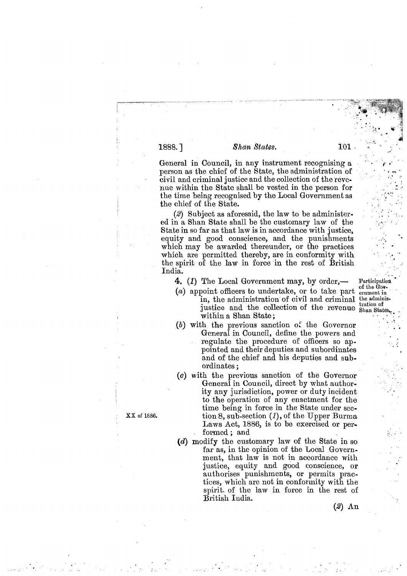## Shan States.

General in Council, in any instrument recognising a person as the chief of the State, the administration of civil and criminal justice and the collection of the revenue within the State shall be vested in the person for the time being recognised by the Local Government as the chief of the State.

 $(2)$  Subject as aforesaid, the law to be administered in a Shan State shall be the customary law of the State in so far as that law is in accordance with justice. equity and good conscience, and the punishments which may be awarded thereunder, or the practices which are permitted thereby, are in conformity with the spirit of the law in force in the rest of British India.

4. (1) The Local Government may, by order,—

- (a) appoint officers to undertake, or to take part in, the administration of civil and criminal the adminisjustice and the collection of the revenue Shan State within a Shan State:
- $(b)$  with the previous sanction of the Governor General in Council, define the powers and regulate the procedure of officers so appointed and their deputies and subordinates and of the chief and his deputies and subordinates;
- (c) with the previous sanction of the Governor General in Council, direct by what authority any jurisdiction, power or duty incident to the operation of any enactment for the time being in force in the State under section 8, sub-section  $(1)$ , of the Upper Burma Laws Act, 1886, is to be exercised or performed : and
- (d) modify the customary law of the State in so far as, in the opinion of the Local Government, that law is not in accordance with justice, equity and good conscience, or authorises punishments, or permits practices, which are not in conformity with the spirit of the law in force in the rest of British India.

 $(2)$  An

XX of 1886.

Participation of the Government in